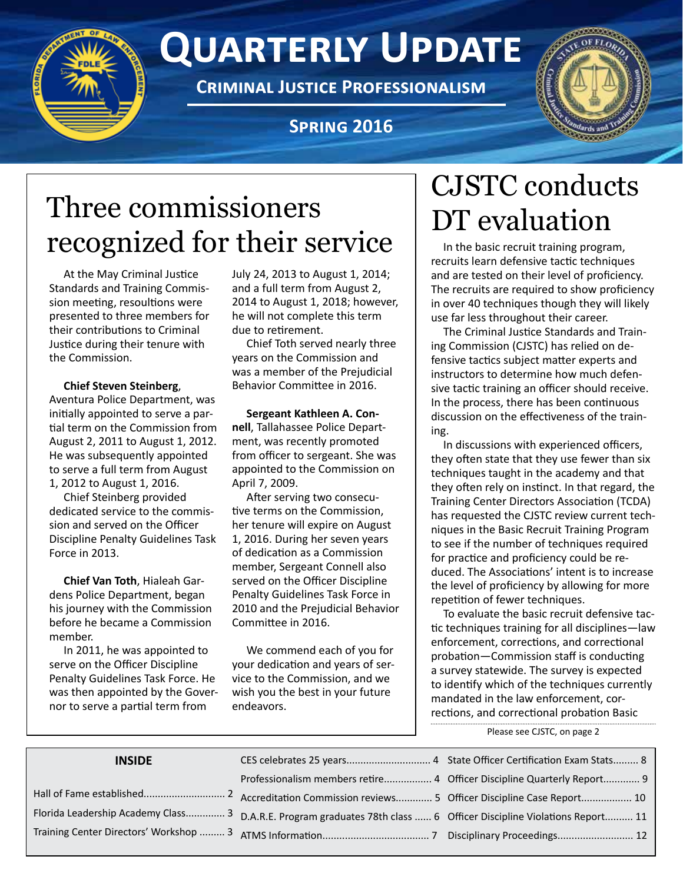# **Quarterly Update**

**Criminal Justice Professionalism**

## **Spring 2016**



# Three commissioners recognized for their service  $\|\mathcal{L}$ <sup>n</sup> the basic recruit training program,

At the May Criminal Justice Standards and Training Commission meeting, resoultions were presented to three members for their contributions to Criminal Justice during their tenure with the Commission.

#### **Chief Steven Steinberg**,

Aventura Police Department, was initially appointed to serve a partial term on the Commission from August 2, 2011 to August 1, 2012. He was subsequently appointed to serve a full term from August 1, 2012 to August 1, 2016.

Chief Steinberg provided dedicated service to the commission and served on the Officer Discipline Penalty Guidelines Task Force in 2013.

**Chief Van Toth**, Hialeah Gardens Police Department, began his journey with the Commission before he became a Commission member.

In 2011, he was appointed to serve on the Officer Discipline Penalty Guidelines Task Force. He was then appointed by the Governor to serve a partial term from

July 24, 2013 to August 1, 2014; and a full term from August 2, 2014 to August 1, 2018; however, he will not complete this term due to retirement.

Chief Toth served nearly three years on the Commission and was a member of the Prejudicial Behavior Committee in 2016.

#### **Sergeant Kathleen A. Con-**

**nell**, Tallahassee Police Department, was recently promoted from officer to sergeant. She was appointed to the Commission on April 7, 2009.

After serving two consecutive terms on the Commission, her tenure will expire on August 1, 2016. During her seven years of dedication as a Commission member, Sergeant Connell also served on the Officer Discipline Penalty Guidelines Task Force in 2010 and the Prejudicial Behavior Committee in 2016.

We commend each of you for your dedication and years of service to the Commission, and we wish you the best in your future endeavors.

# CJSTC conducts DT evaluation

recruits learn defensive tactic techniques and are tested on their level of proficiency. The recruits are required to show proficiency in over 40 techniques though they will likely use far less throughout their career.

The Criminal Justice Standards and Training Commission (CJSTC) has relied on defensive tactics subject matter experts and instructors to determine how much defensive tactic training an officer should receive. In the process, there has been continuous discussion on the effectiveness of the training.

In discussions with experienced officers, they often state that they use fewer than six techniques taught in the academy and that they often rely on instinct. In that regard, the Training Center Directors Association (TCDA) has requested the CJSTC review current techniques in the Basic Recruit Training Program to see if the number of techniques required for practice and proficiency could be reduced. The Associations' intent is to increase the level of proficiency by allowing for more repetition of fewer techniques.

To evaluate the basic recruit defensive tactic techniques training for all disciplines—law enforcement, corrections, and correctional probation—Commission staff is conducting a survey statewide. The survey is expected to identify which of the techniques currently mandated in the law enforcement, corrections, and correctional probation Basic

Please see CJSTC, on page 2

| <b>INSIDE</b> |                                                                                                                     |  |
|---------------|---------------------------------------------------------------------------------------------------------------------|--|
|               | Professionalism members retire 4 Officer Discipline Quarterly Report 9                                              |  |
|               |                                                                                                                     |  |
|               | Florida Leadership Academy Class 3 D.A.R.E. Program graduates 78th class  6 Officer Discipline Violations Report 11 |  |
|               |                                                                                                                     |  |
|               |                                                                                                                     |  |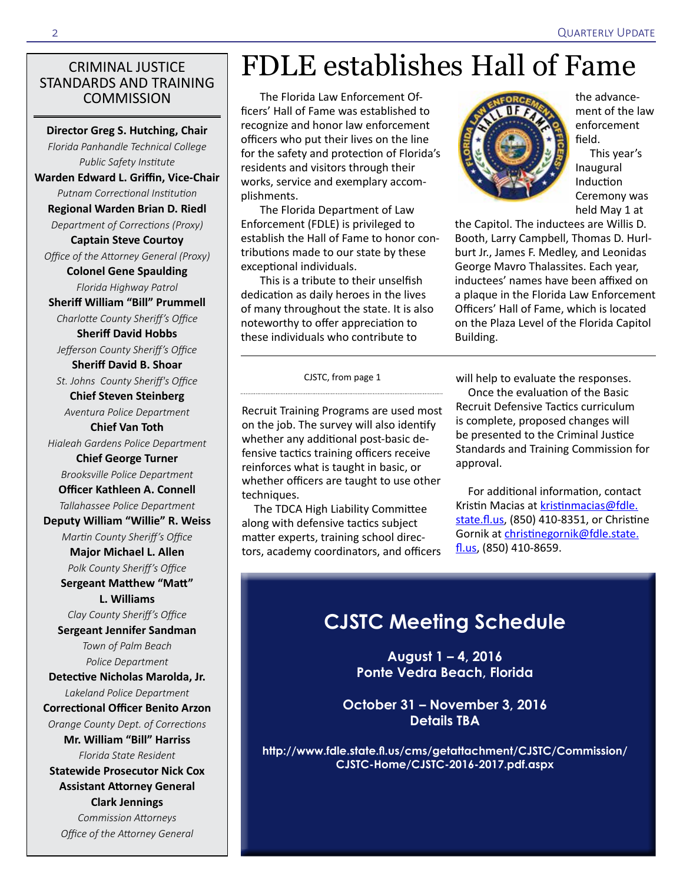#### CRIMINAL JUSTICE STANDARDS AND TRAINING **COMMISSION**

**Director Greg S. Hutching, Chair** *Florida Panhandle Technical College Public Safety Institute* **Warden Edward L. Griffin, Vice-Chair** *Putnam Correctional Institution* **Regional Warden Brian D. Riedl** *Department of Corrections (Proxy)* **Captain Steve Courtoy** *Office of the Attorney General (Proxy)* **Colonel Gene Spaulding** *Florida Highway Patrol* **Sheriff William "Bill" Prummell** *Charlotte County Sheriff's Office* **Sheriff David Hobbs** *Jefferson County Sheriff's Office* **Sheriff David B. Shoar** *St. Johns County Sheriff's Office* **Chief Steven Steinberg** *Aventura Police Department* **Chief Van Toth** *Hialeah Gardens Police Department*  **Chief George Turner**  *Brooksville Police Department* **Officer Kathleen A. Connell** *Tallahassee Police Department* **Deputy William "Willie" R. Weiss** *Martin County Sheriff's Office* **Major Michael L. Allen** *Polk County Sheriff's Office* **Sergeant Matthew "Matt" L. Williams**

*Clay County Sheriff's Office*

**Sergeant Jennifer Sandman** *Town of Palm Beach Police Department*

**Detective Nicholas Marolda, Jr.**  *Lakeland Police Department*

**Correctional Officer Benito Arzon**

*Orange County Dept. of Corrections* **Mr. William "Bill" Harriss** *Florida State Resident* 

**Statewide Prosecutor Nick Cox Assistant Attorney General** 

**Clark Jennings**

*Commission Attorneys Office of the Attorney General*

# FDLE establishes Hall of Fame

The Florida Law Enforcement Officers' Hall of Fame was established to recognize and honor law enforcement officers who put their lives on the line for the safety and protection of Florida's residents and visitors through their works, service and exemplary accomplishments.

The Florida Department of Law Enforcement (FDLE) is privileged to establish the Hall of Fame to honor contributions made to our state by these exceptional individuals.

This is a tribute to their unselfish dedication as daily heroes in the lives of many throughout the state. It is also noteworthy to offer appreciation to these individuals who contribute to

CJSTC, from page 1

Recruit Training Programs are used most on the job. The survey will also identify whether any additional post-basic defensive tactics training officers receive reinforces what is taught in basic, or whether officers are taught to use other

The TDCA High Liability Committee along with defensive tactics subject matter experts, training school directors, academy coordinators, and officers

techniques.

the advancement of the law enforcement field.

This year's Inaugural Induction Ceremony was held May 1 at

the Capitol. The inductees are Willis D. Booth, Larry Campbell, Thomas D. Hurlburt Jr., James F. Medley, and Leonidas George Mavro Thalassites. Each year, inductees' names have been affixed on a plaque in the Florida Law Enforcement Officers' Hall of Fame, which is located on the Plaza Level of the Florida Capitol Building.

will help to evaluate the responses.

Once the evaluation of the Basic Recruit Defensive Tactics curriculum is complete, proposed changes will be presented to the Criminal Justice Standards and Training Commission for approval.

For additional information, contact Kristin Macias at [kristinmacias@fdle.](mailto:kristinmacias@fdle.state.fl.us) [state.fl.us,](mailto:kristinmacias@fdle.state.fl.us) (850) 410-8351, or Christine Gornik at [christinegornik@fdle.state.](mailto:christinegornik@fdle.state.fl.us) [fl.us](mailto:christinegornik@fdle.state.fl.us), (850) 410-8659.

## **CJSTC Meeting Schedule**

**August 1 – 4, 2016 Ponte Vedra Beach, Florida**

**October 31 – November 3, 2016 Details TBA**

**[http://www.fdle.state.fl.us/cms/getattachment/CJSTC/Commission/](http://www.fdle.state.fl.us/cms/getattachment/CJSTC/Commission/CJSTC-Home/CJSTC-2016-2017.pdf.aspx) [CJSTC-Home/CJSTC-2016-2017.pdf.aspx](http://www.fdle.state.fl.us/cms/getattachment/CJSTC/Commission/CJSTC-Home/CJSTC-2016-2017.pdf.aspx)**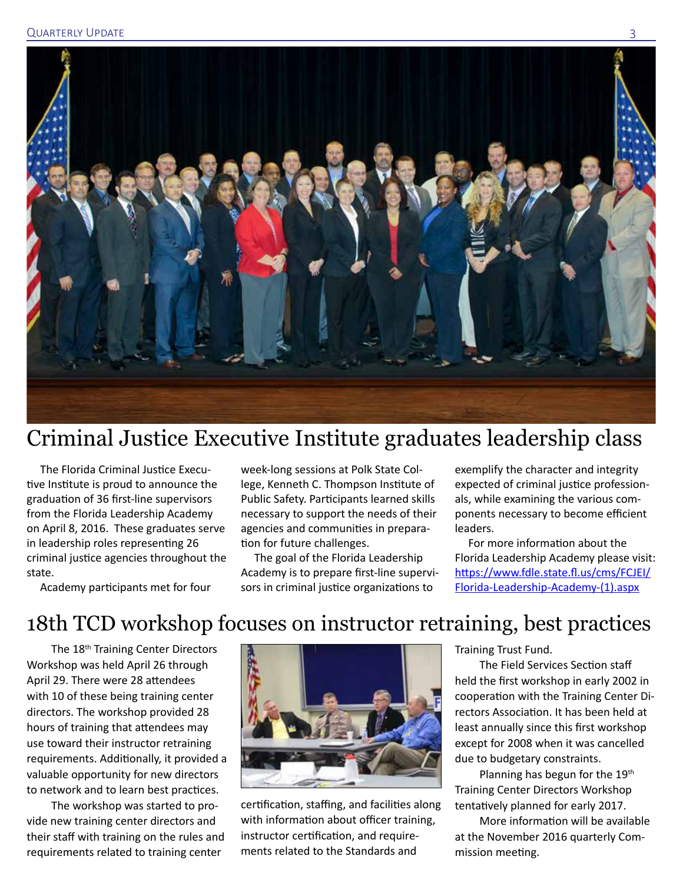

## Criminal Justice Executive Institute graduates leadership class

The Florida Criminal Justice Executive Institute is proud to announce the graduation of 36 first-line supervisors from the Florida Leadership Academy on April 8, 2016. These graduates serve in leadership roles representing 26 criminal justice agencies throughout the state.

week-long sessions at Polk State College, Kenneth C. Thompson Institute of Public Safety. Participants learned skills necessary to support the needs of their agencies and communities in preparation for future challenges.

The goal of the Florida Leadership Academy is to prepare first-line supervisors in criminal justice organizations to

exemplify the character and integrity expected of criminal justice professionals, while examining the various components necessary to become efficient leaders.

For more information about the Florida Leadership Academy please visit: [https://www.fdle.state.fl.us/cms/FCJEI/](https://www.fdle.state.fl.us/cms/FCJEI/Florida-Leadership-Academy-(1).aspx) [Florida-Leadership-Academy-\(1\).aspx](https://www.fdle.state.fl.us/cms/FCJEI/Florida-Leadership-Academy-(1).aspx)

Academy participants met for four

## 18th TCD workshop focuses on instructor retraining, best practices

The 18<sup>th</sup> Training Center Directors Workshop was held April 26 through April 29. There were 28 attendees with 10 of these being training center directors. The workshop provided 28 hours of training that attendees may use toward their instructor retraining requirements. Additionally, it provided a valuable opportunity for new directors to network and to learn best practices.

The workshop was started to provide new training center directors and their staff with training on the rules and requirements related to training center



certification, staffing, and facilities along with information about officer training, instructor certification, and requirements related to the Standards and

Training Trust Fund.

The Field Services Section staff held the first workshop in early 2002 in cooperation with the Training Center Directors Association. It has been held at least annually since this first workshop except for 2008 when it was cancelled due to budgetary constraints.

Planning has begun for the 19<sup>th</sup> Training Center Directors Workshop tentatively planned for early 2017.

More information will be available at the November 2016 quarterly Commission meeting.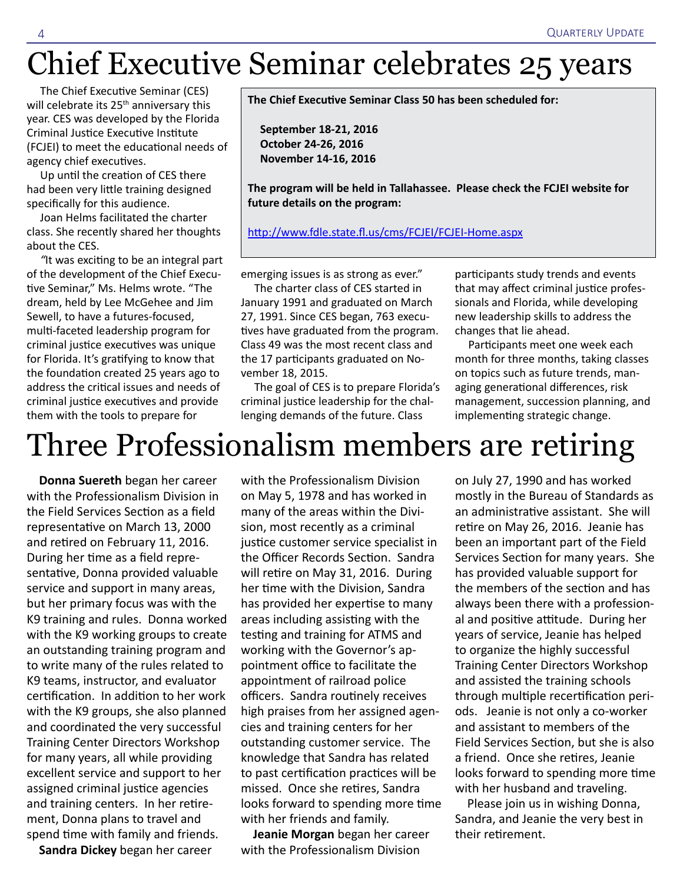Chief Executive Seminar celebrates 25 years

The Chief Executive Seminar (CES) will celebrate its 25<sup>th</sup> anniversary this year. CES was developed by the Florida Criminal Justice Executive Institute (FCJEI) to meet the educational needs of agency chief executives.

Up until the creation of CES there had been very little training designed specifically for this audience.

Joan Helms facilitated the charter class. She recently shared her thoughts about the CES.

*"*It was exciting to be an integral part of the development of the Chief Executive Seminar," Ms. Helms wrote. "The dream, held by Lee McGehee and Jim Sewell, to have a futures-focused, multi-faceted leadership program for criminal justice executives was unique for Florida. It's gratifying to know that the foundation created 25 years ago to address the critical issues and needs of criminal justice executives and provide them with the tools to prepare for

**The Chief Executive Seminar Class 50 has been scheduled for:**

**September 18-21, 2016 October 24-26, 2016 November 14-16, 2016**

**The program will be held in Tallahassee. Please check the FCJEI website for future details on the program:**

<http://www.fdle.state.fl.us/cms/FCJEI/FCJEI-Home.aspx>

emerging issues is as strong as ever."

The charter class of CES started in January 1991 and graduated on March 27, 1991. Since CES began, 763 executives have graduated from the program. Class 49 was the most recent class and the 17 participants graduated on November 18, 2015.

The goal of CES is to prepare Florida's criminal justice leadership for the challenging demands of the future. Class

participants study trends and events that may affect criminal justice professionals and Florida, while developing new leadership skills to address the changes that lie ahead.

Participants meet one week each month for three months, taking classes on topics such as future trends, managing generational differences, risk management, succession planning, and implementing strategic change.

# Three Professionalism members are retiring

**Donna Suereth** began her career with the Professionalism Division in the Field Services Section as a field representative on March 13, 2000 and retired on February 11, 2016. During her time as a field representative, Donna provided valuable service and support in many areas, but her primary focus was with the K9 training and rules. Donna worked with the K9 working groups to create an outstanding training program and to write many of the rules related to K9 teams, instructor, and evaluator certification. In addition to her work with the K9 groups, she also planned and coordinated the very successful Training Center Directors Workshop for many years, all while providing excellent service and support to her assigned criminal justice agencies and training centers. In her retirement, Donna plans to travel and spend time with family and friends.

**Sandra Dickey** began her career

with the Professionalism Division on May 5, 1978 and has worked in many of the areas within the Division, most recently as a criminal justice customer service specialist in the Officer Records Section. Sandra will retire on May 31, 2016. During her time with the Division, Sandra has provided her expertise to many areas including assisting with the testing and training for ATMS and working with the Governor's appointment office to facilitate the appointment of railroad police officers. Sandra routinely receives high praises from her assigned agencies and training centers for her outstanding customer service. The knowledge that Sandra has related to past certification practices will be missed. Once she retires, Sandra looks forward to spending more time with her friends and family.

**Jeanie Morgan** began her career with the Professionalism Division

on July 27, 1990 and has worked mostly in the Bureau of Standards as an administrative assistant. She will retire on May 26, 2016. Jeanie has been an important part of the Field Services Section for many years. She has provided valuable support for the members of the section and has always been there with a professional and positive attitude. During her years of service, Jeanie has helped to organize the highly successful Training Center Directors Workshop and assisted the training schools through multiple recertification periods. Jeanie is not only a co-worker and assistant to members of the Field Services Section, but she is also a friend. Once she retires, Jeanie looks forward to spending more time with her husband and traveling.

Please join us in wishing Donna, Sandra, and Jeanie the very best in their retirement.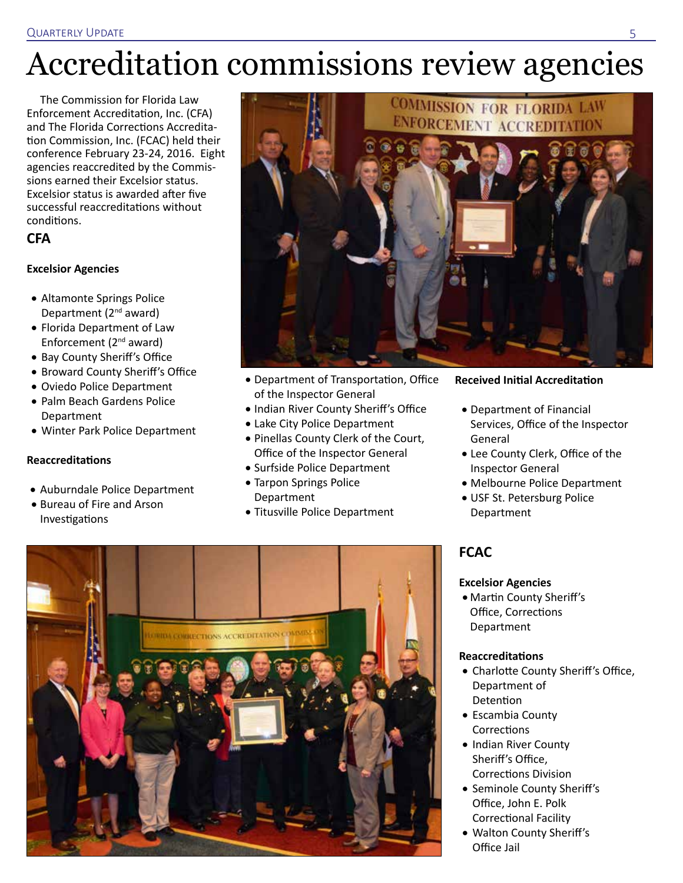# Accreditation commissions review agencies

The Commission for Florida Law Enforcement Accreditation, Inc. (CFA) and The Florida Corrections Accreditation Commission, Inc. (FCAC) held their conference February 23-24, 2016. Eight agencies reaccredited by the Commissions earned their Excelsior status. Excelsior status is awarded after five successful reaccreditations without conditions.

### **CFA**

#### **Excelsior Agencies**

- Altamonte Springs Police Department (2nd award)
- • Florida Department of Law Enforcement (2nd award)
- Bay County Sheriff's Office
- • Broward County Sheriff's Office
- • Oviedo Police Department
- Palm Beach Gardens Police Department
- • Winter Park Police Department

#### **Reaccreditations**

- • Auburndale Police Department
- Bureau of Fire and Arson Investigations



- • Department of Transportation, Office of the Inspector General
- Indian River County Sheriff's Office
- Lake City Police Department
- Pinellas County Clerk of the Court, Office of the Inspector General
- • Surfside Police Department
- Tarpon Springs Police Department
- Titusville Police Department

#### **Received Initial Accreditation**

- • Department of Financial Services, Office of the Inspector General
- • Lee County Clerk, Office of the Inspector General
- • Melbourne Police Department
- USF St. Petersburg Police Department

## **FCAC**

#### **Excelsior Agencies**

• Martin County Sheriff's Office, Corrections Department

#### **Reaccreditations**

- Charlotte County Sheriff's Office, Department of Detention
- Escambia County **Corrections**
- • Indian River County Sheriff's Office, Corrections Division
- Seminole County Sheriff's Office, John E. Polk Correctional Facility
- • Walton County Sheriff's Office Jail

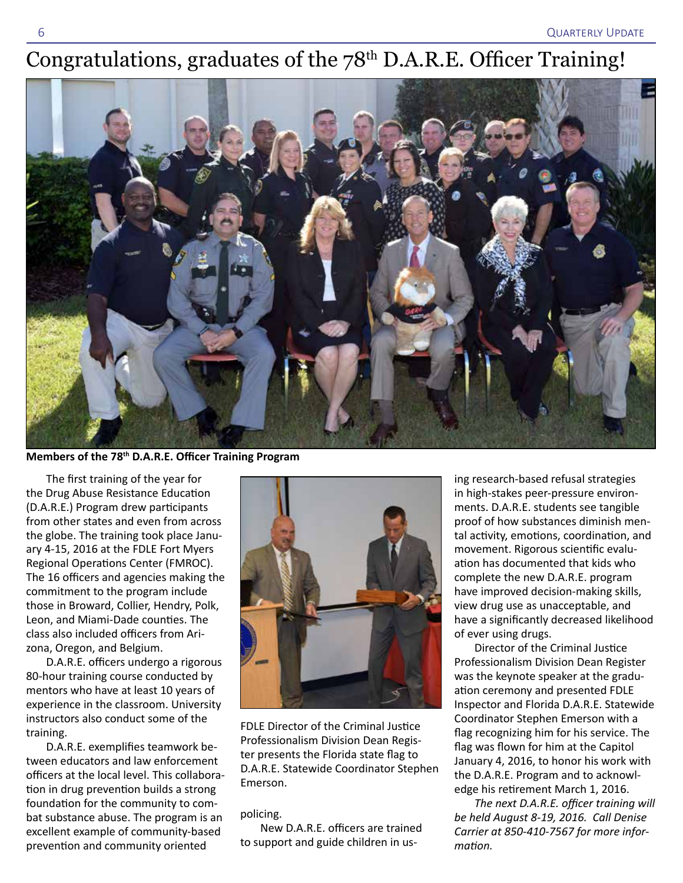# Congratulations, graduates of the 78<sup>th</sup> D.A.R.E. Officer Training!



**Members of the 78th D.A.R.E. Officer Training Program**

The first training of the year for the Drug Abuse Resistance Education (D.A.R.E.) Program drew participants from other states and even from across the globe. The training took place January 4-15, 2016 at the FDLE Fort Myers Regional Operations Center (FMROC). The 16 officers and agencies making the commitment to the program include those in Broward, Collier, Hendry, Polk, Leon, and Miami-Dade counties. The class also included officers from Arizona, Oregon, and Belgium.

D.A.R.E. officers undergo a rigorous 80-hour training course conducted by mentors who have at least 10 years of experience in the classroom. University instructors also conduct some of the training.

D.A.R.E. exemplifies teamwork between educators and law enforcement officers at the local level. This collaboration in drug prevention builds a strong foundation for the community to combat substance abuse. The program is an excellent example of community-based prevention and community oriented



FDLE Director of the Criminal Justice Professionalism Division Dean Register presents the Florida state flag to D.A.R.E. Statewide Coordinator Stephen Emerson.

#### policing.

New D.A.R.E. officers are trained to support and guide children in us-

ing research-based refusal strategies in high-stakes peer-pressure environments. D.A.R.E. students see tangible proof of how substances diminish mental activity, emotions, coordination, and movement. Rigorous scientific evaluation has documented that kids who complete the new D.A.R.E. program have improved decision-making skills, view drug use as unacceptable, and have a significantly decreased likelihood of ever using drugs.

Director of the Criminal Justice Professionalism Division Dean Register was the keynote speaker at the graduation ceremony and presented FDLE Inspector and Florida D.A.R.E. Statewide Coordinator Stephen Emerson with a flag recognizing him for his service. The flag was flown for him at the Capitol January 4, 2016, to honor his work with the D.A.R.E. Program and to acknowledge his retirement March 1, 2016.

*The next D.A.R.E. officer training will be held August 8-19, 2016. Call Denise Carrier at 850-410-7567 for more information.*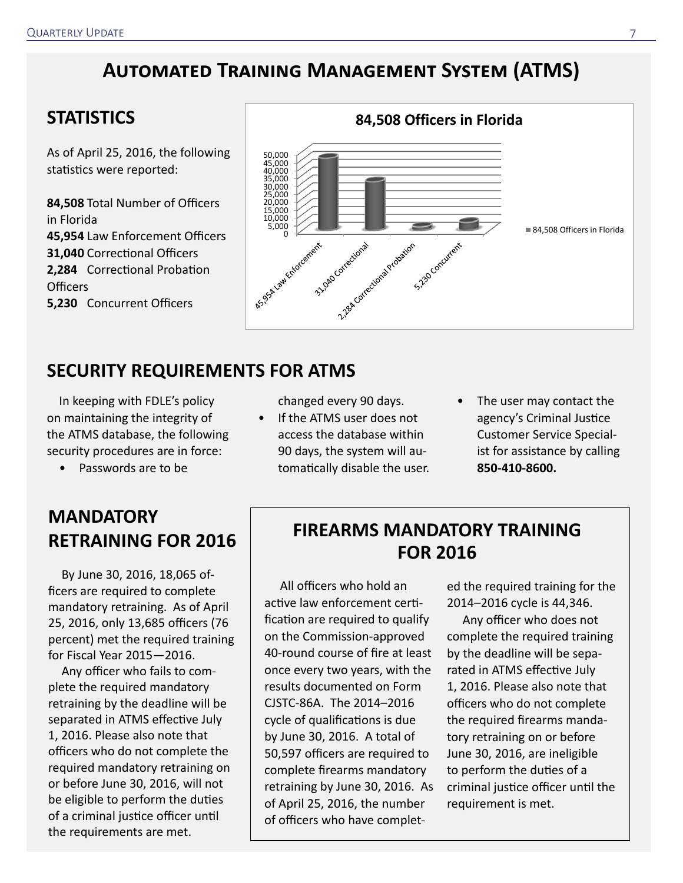## **Automated Training Management System (ATMS)**

## **STATISTICS**

As of April 25, 2016, the following statistics were reported:

**84,508** Total Number of Officers in Florida **45,954** Law Enforcement Officers **31,040** Correctional Officers **2,284** Correctional Probation Officers **5,230** Concurrent Officers



## **SECURITY REQUIREMENTS FOR ATMS**

In keeping with FDLE's policy on maintaining the integrity of the ATMS database, the following security procedures are in force:

• Passwords are to be

## **MANDATORY RETRAINING FOR 2016**

By June 30, 2016, 18,065 officers are required to complete mandatory retraining. As of April 25, 2016, only 13,685 officers (76 percent) met the required training for Fiscal Year 2015—2016.

Any officer who fails to complete the required mandatory retraining by the deadline will be separated in ATMS effective July 1, 2016. Please also note that officers who do not complete the required mandatory retraining on or before June 30, 2016, will not be eligible to perform the duties of a criminal justice officer until the requirements are met.

changed every 90 days.

- If the ATMS user does not access the database within 90 days, the system will automatically disable the user.
- The user may contact the agency's Criminal Justice Customer Service Specialist for assistance by calling **850-410-8600.**

## **FIREARMS MANDATORY TRAINING FOR 2016**

All officers who hold an active law enforcement certification are required to qualify on the Commission-approved 40-round course of fire at least once every two years, with the results documented on Form CJSTC-86A. The 2014–2016 cycle of qualifications is due by June 30, 2016. A total of 50,597 officers are required to complete firearms mandatory retraining by June 30, 2016. As of April 25, 2016, the number of officers who have completed the required training for the 2014–2016 cycle is 44,346.

Any officer who does not complete the required training by the deadline will be separated in ATMS effective July 1, 2016. Please also note that officers who do not complete the required firearms mandatory retraining on or before June 30, 2016, are ineligible to perform the duties of a criminal justice officer until the requirement is met.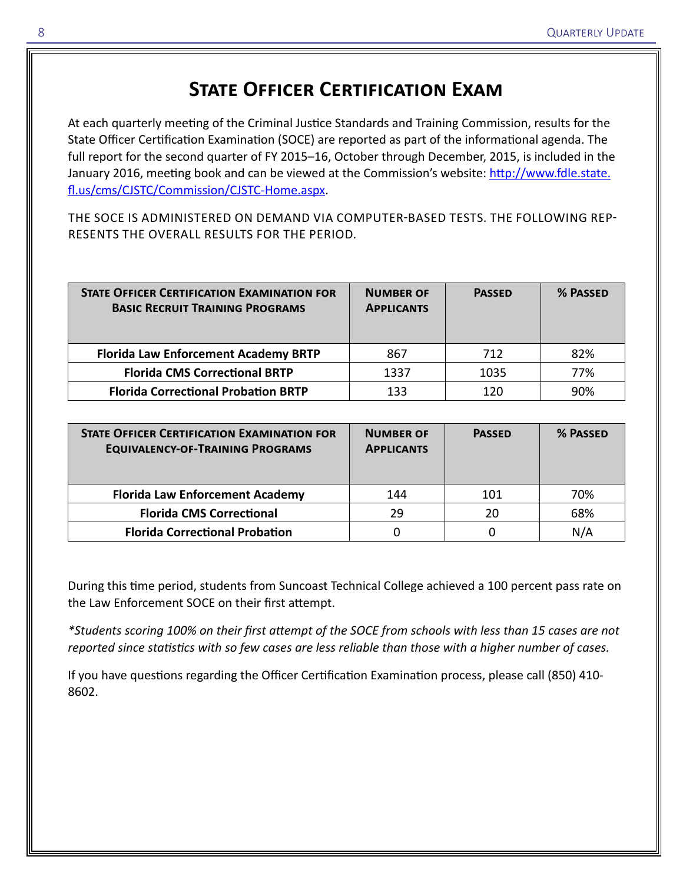## **State Officer Certification Exam**

At each quarterly meeting of the Criminal Justice Standards and Training Commission, results for the State Officer Certification Examination (SOCE) are reported as part of the informational agenda. The full report for the second quarter of FY 2015–16, October through December, 2015, is included in the January 2016, meeting book and can be viewed at the Commission's website: [http://www.fdle.state.](http://www.fdle.state.fl.us/cms/CJSTC/Commission/CJSTC-Home.aspx) [fl.us/cms/CJSTC/Commission/CJSTC-Home.aspx](http://www.fdle.state.fl.us/cms/CJSTC/Commission/CJSTC-Home.aspx).

THE SOCE IS ADMINISTERED ON DEMAND VIA COMPUTER-BASED TESTS. THE FOLLOWING REP-RESENTS THE OVERALL RESULTS FOR THE PERIOD.

| <b>STATE OFFICER CERTIFICATION EXAMINATION FOR</b><br><b>BASIC RECRUIT TRAINING PROGRAMS</b> | <b>NUMBER OF</b><br><b>APPLICANTS</b> | <b>PASSED</b> | % PASSED |
|----------------------------------------------------------------------------------------------|---------------------------------------|---------------|----------|
| <b>Florida Law Enforcement Academy BRTP</b>                                                  | 867                                   | 712           | 82%      |
| <b>Florida CMS Correctional BRTP</b>                                                         | 1337                                  | 1035          | 77%      |
| <b>Florida Correctional Probation BRTP</b>                                                   | 133                                   | 120           | 90%      |

| <b>STATE OFFICER CERTIFICATION EXAMINATION FOR</b><br><b>EQUIVALENCY-OF-TRAINING PROGRAMS</b> | <b>NUMBER OF</b><br><b>APPLICANTS</b> | <b>PASSED</b> | % PASSED |
|-----------------------------------------------------------------------------------------------|---------------------------------------|---------------|----------|
| <b>Florida Law Enforcement Academy</b>                                                        | 144                                   | 101           | 70%      |
| <b>Florida CMS Correctional</b>                                                               | 29                                    | 20            | 68%      |
| <b>Florida Correctional Probation</b>                                                         |                                       |               | N/A      |

During this time period, students from Suncoast Technical College achieved a 100 percent pass rate on the Law Enforcement SOCE on their first attempt.

*\*Students scoring 100% on their first attempt of the SOCE from schools with less than 15 cases are not reported since statistics with so few cases are less reliable than those with a higher number of cases.*

If you have questions regarding the Officer Certification Examination process, please call (850) 410- 8602.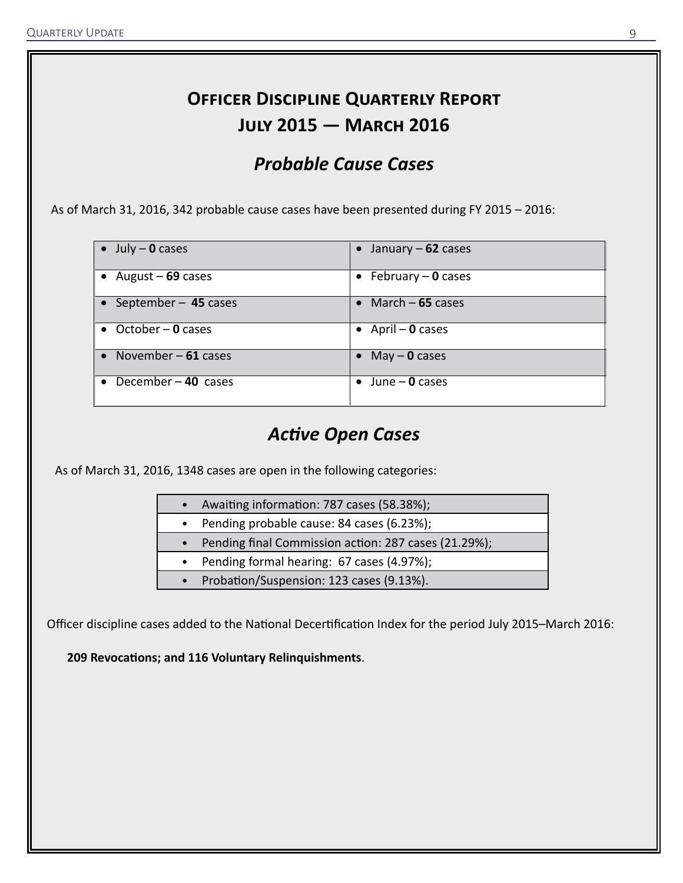## **Officer Discipline Quarterly Report July 2015 — March 2016**

## *Probable Cause Cases*

As of March 31, 2016, 342 probable cause cases have been presented during FY 2015 – 2016:

| $\vert \bullet \vert$ July – 0 cases | January – $62$ cases      |
|--------------------------------------|---------------------------|
| • August $-69$ cases                 | • February $-$ 0 cases    |
| September - 45 cases                 | • March $-65$ cases       |
| $\bullet$ October – 0 cases          | $\bullet$ April – 0 cases |
| • November $-61$ cases               | • May $-$ 0 cases         |
| December-40 cases                    | June $-$ 0 cases          |

## *Active Open Cases*

As of March 31, 2016, 1348 cases are open in the following categories:

- Awaiting information: 787 cases (58.38%);
- Pending probable cause: 84 cases (6.23%);
- Pending final Commission action: 287 cases (21.29%);
- Pending formal hearing: 67 cases (4.97%);
- Probation/Suspension: 123 cases (9.13%).

Officer discipline cases added to the National Decertification Index for the period July 2015–March 2016:

**209 Revocations; and 116 Voluntary Relinquishments**.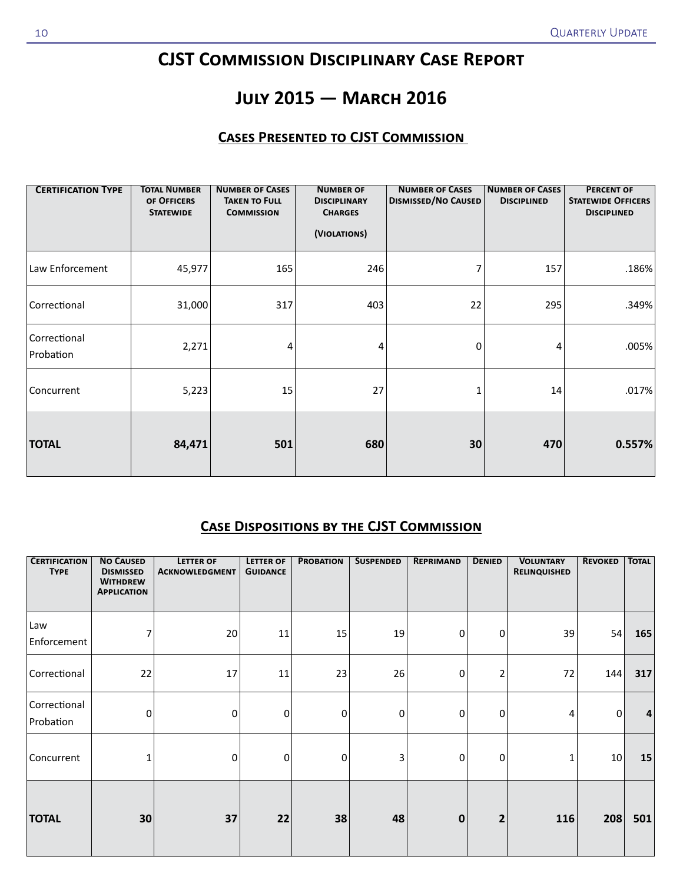## **CJST Commission Disciplinary Case Report**

## **July 2015 — March 2016**

### **Cases Presented to CJST Commission**

| <b>CERTIFICATION TYPE</b> | <b>TOTAL NUMBER</b><br>OF OFFICERS<br><b>STATEWIDE</b> | <b>NUMBER OF CASES</b><br><b>TAKEN TO FULL</b><br><b>COMMISSION</b> | <b>NUMBER OF</b><br><b>DISCIPLINARY</b><br><b>CHARGES</b><br>(VIOLATIONS) | <b>NUMBER OF CASES</b><br><b>DISMISSED/NO CAUSED</b> | <b>NUMBER OF CASES</b><br><b>DISCIPLINED</b> | <b>PERCENT OF</b><br><b>STATEWIDE OFFICERS</b><br><b>DISCIPLINED</b> |
|---------------------------|--------------------------------------------------------|---------------------------------------------------------------------|---------------------------------------------------------------------------|------------------------------------------------------|----------------------------------------------|----------------------------------------------------------------------|
| Law Enforcement           | 45,977                                                 | 165                                                                 | 246                                                                       | 7                                                    | 157                                          | .186%                                                                |
| Correctional              | 31,000                                                 | 317                                                                 | 403                                                                       | 22                                                   | 295                                          | .349%                                                                |
| Correctional<br>Probation | 2,271                                                  | 4                                                                   | 4                                                                         | 0                                                    |                                              | .005%                                                                |
| Concurrent                | 5,223                                                  | 15                                                                  | 27                                                                        |                                                      | 14                                           | .017%                                                                |
| <b>TOTAL</b>              | 84,471                                                 | 501                                                                 | 680                                                                       | 30                                                   | 470                                          | 0.557%                                                               |

### **Case Dispositions by the CJST Commission**

| <b>CERTIFICATION</b><br><b>TYPE</b> | <b>NO CAUSED</b><br><b>DISMISSED</b><br><b>WITHDREW</b><br><b>APPLICATION</b> | <b>LETTER OF</b><br><b>ACKNOWLEDGMENT</b> | <b>LETTER OF</b><br><b>GUIDANCE</b> | <b>PROBATION</b> | <b>SUSPENDED</b> | <b>REPRIMAND</b> | <b>DENIED</b>    | <b>VOLUNTARY</b><br>RELINQUISHED | <b>REVOKED</b>   | <b>TOTAL</b> |
|-------------------------------------|-------------------------------------------------------------------------------|-------------------------------------------|-------------------------------------|------------------|------------------|------------------|------------------|----------------------------------|------------------|--------------|
| Law<br>Enforcement                  | 7                                                                             | 20                                        | 11                                  | 15               | 19               | 0                | 0                | 39                               | 54               | 165          |
| Correctional                        | 22                                                                            | 17                                        | 11                                  | 23               | 26               | 0                | $\overline{c}$   | 72                               | 144              | 317          |
| Correctional<br>Probation           | 0                                                                             | 0                                         | $\boldsymbol{0}$                    | $\mathbf 0$      | 0                | 0                | $\boldsymbol{0}$ | 4                                | $\boldsymbol{0}$ | 4            |
| Concurrent                          | 1                                                                             | 0                                         | 0                                   | 0                | 3                | 0                | $\mathbf 0$      |                                  | 10               | 15           |
| <b>TOTAL</b>                        | 30                                                                            | 37                                        | 22                                  | 38               | 48               | $\bf{0}$         | $\mathbf{2}$     | 116                              | 208              | 501          |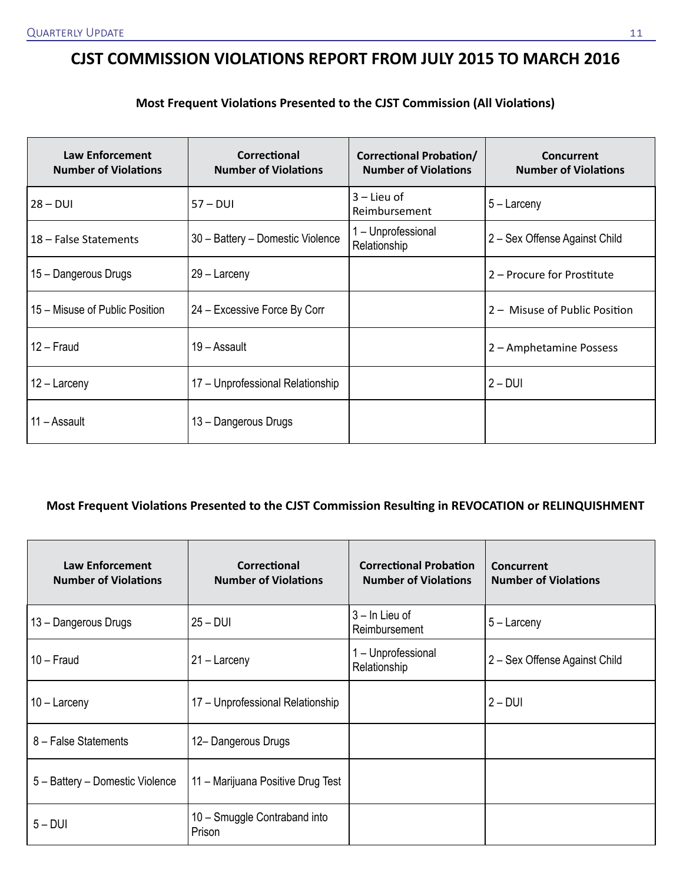## **CJST COMMISSION VIOLATIONS REPORT FROM JULY 2015 TO MARCH 2016**

#### **Most Frequent Violations Presented to the CJST Commission (All Violations)**

| <b>Law Enforcement</b><br><b>Number of Violations</b> | Correctional<br><b>Number of Violations</b> | <b>Correctional Probation/</b><br><b>Number of Violations</b> | Concurrent<br><b>Number of Violations</b> |
|-------------------------------------------------------|---------------------------------------------|---------------------------------------------------------------|-------------------------------------------|
| $28 - DUI$                                            | $57 - DUI$                                  | $3$ – Lieu of<br>Reimbursement                                | $5 -$ Larceny                             |
| 18 - False Statements                                 | 30 - Battery - Domestic Violence            | 1 - Unprofessional<br>Relationship                            | 2 – Sex Offense Against Child             |
| 15 - Dangerous Drugs                                  | 29 – Larceny                                |                                                               | 2 – Procure for Prostitute                |
| 15 – Misuse of Public Position                        | 24 – Excessive Force By Corr                |                                                               | 2 – Misuse of Public Position             |
| $12 -$ Fraud                                          | 19 – Assault                                |                                                               | 2 – Amphetamine Possess                   |
| 12 – Larceny                                          | 17 - Unprofessional Relationship            |                                                               | $2 - DUI$                                 |
| 11 – Assault                                          | 13 - Dangerous Drugs                        |                                                               |                                           |

### **Most Frequent Violations Presented to the CJST Commission Resulting in REVOCATION or RELINQUISHMENT**

| <b>Law Enforcement</b><br><b>Number of Violations</b> | Correctional<br><b>Number of Violations</b> | <b>Correctional Probation</b><br><b>Number of Violations</b> | Concurrent<br><b>Number of Violations</b> |
|-------------------------------------------------------|---------------------------------------------|--------------------------------------------------------------|-------------------------------------------|
| 13 - Dangerous Drugs                                  | $25 - DUI$                                  | $3 - \ln$ Lieu of<br>Reimbursement                           | $5 -$ Larceny                             |
| $10 -$ Fraud                                          | $21 -$ Larceny                              | - Unprofessional<br>Relationship                             | 2 – Sex Offense Against Child             |
| $10 -$ Larceny                                        | 17 - Unprofessional Relationship            |                                                              | $2 - DUI$                                 |
| 8 - False Statements                                  | 12- Dangerous Drugs                         |                                                              |                                           |
| 5 - Battery - Domestic Violence                       | 11 – Marijuana Positive Drug Test           |                                                              |                                           |
| $5 - DUI$                                             | 10 - Smuggle Contraband into<br>Prison      |                                                              |                                           |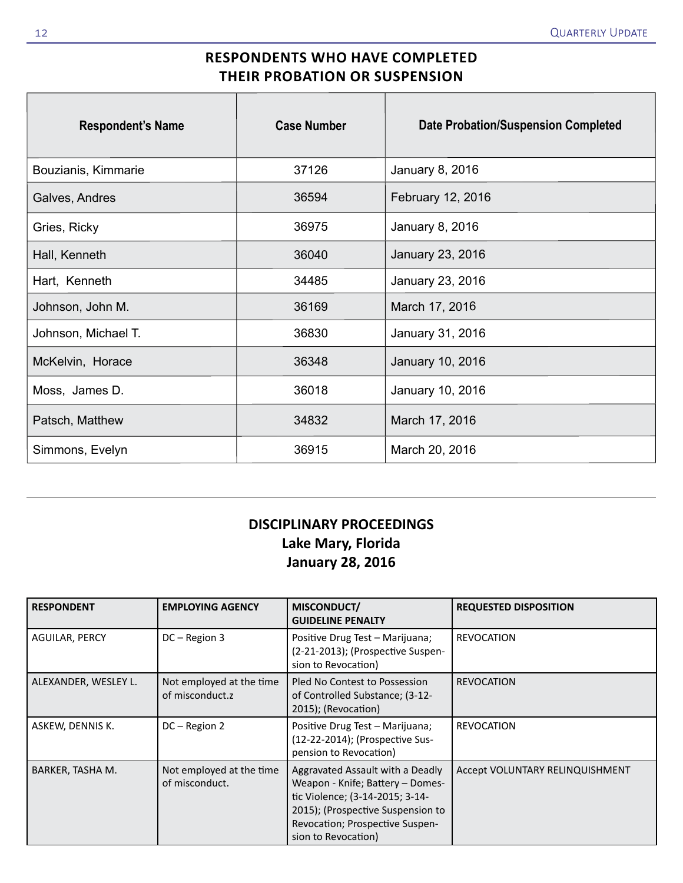## **RESPONDENTS WHO HAVE COMPLETED THEIR PROBATION OR SUSPENSION**

| <b>Respondent's Name</b> | <b>Case Number</b> | <b>Date Probation/Suspension Completed</b> |
|--------------------------|--------------------|--------------------------------------------|
| Bouzianis, Kimmarie      | 37126              | January 8, 2016                            |
| Galves, Andres           | 36594              | February 12, 2016                          |
| Gries, Ricky             | 36975              | January 8, 2016                            |
| Hall, Kenneth            | 36040              | January 23, 2016                           |
| Hart, Kenneth            | 34485              | January 23, 2016                           |
| Johnson, John M.         | 36169              | March 17, 2016                             |
| Johnson, Michael T.      | 36830              | January 31, 2016                           |
| McKelvin, Horace         | 36348              | January 10, 2016                           |
| Moss, James D.           | 36018              | January 10, 2016                           |
| Patsch, Matthew          | 34832              | March 17, 2016                             |
| Simmons, Evelyn          | 36915              | March 20, 2016                             |

## **DISCIPLINARY PROCEEDINGS Lake Mary, Florida January 28, 2016**

| <b>RESPONDENT</b>     | <b>EMPLOYING AGENCY</b>                     | MISCONDUCT/<br><b>GUIDELINE PENALTY</b>                                                                                                                                                                | <b>REQUESTED DISPOSITION</b>    |
|-----------------------|---------------------------------------------|--------------------------------------------------------------------------------------------------------------------------------------------------------------------------------------------------------|---------------------------------|
| <b>AGUILAR, PERCY</b> | DC-Region 3                                 | Positive Drug Test - Marijuana;<br>(2-21-2013); (Prospective Suspen-<br>sion to Revocation)                                                                                                            | <b>REVOCATION</b>               |
| ALEXANDER, WESLEY L.  | Not employed at the time<br>of misconduct.z | Pled No Contest to Possession<br>of Controlled Substance; (3-12-<br>2015); (Revocation)                                                                                                                | <b>REVOCATION</b>               |
| ASKEW, DENNIS K.      | DC - Region 2                               | Positive Drug Test - Marijuana;<br>(12-22-2014); (Prospective Sus-<br>pension to Revocation)                                                                                                           | <b>REVOCATION</b>               |
| BARKER, TASHA M.      | Not employed at the time<br>of misconduct.  | Aggravated Assault with a Deadly<br>Weapon - Knife; Battery - Domes-<br>tic Violence; (3-14-2015; 3-14-<br>2015); (Prospective Suspension to<br>Revocation; Prospective Suspen-<br>sion to Revocation) | Accept VOLUNTARY RELINQUISHMENT |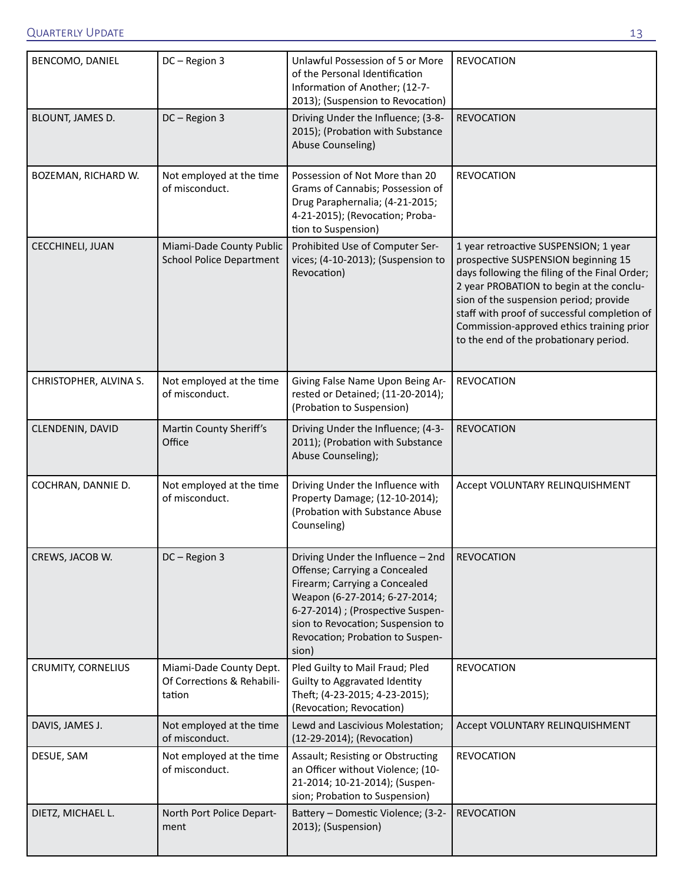| BENCOMO, DANIEL           | DC-Region 3                                                     | Unlawful Possession of 5 or More<br>of the Personal Identification<br>Information of Another; (12-7-<br>2013); (Suspension to Revocation)                                                                                                                   | <b>REVOCATION</b>                                                                                                                                                                                                                                                                                                                                          |
|---------------------------|-----------------------------------------------------------------|-------------------------------------------------------------------------------------------------------------------------------------------------------------------------------------------------------------------------------------------------------------|------------------------------------------------------------------------------------------------------------------------------------------------------------------------------------------------------------------------------------------------------------------------------------------------------------------------------------------------------------|
| BLOUNT, JAMES D.          | DC-Region 3                                                     | Driving Under the Influence; (3-8-<br>2015); (Probation with Substance<br>Abuse Counseling)                                                                                                                                                                 | <b>REVOCATION</b>                                                                                                                                                                                                                                                                                                                                          |
| BOZEMAN, RICHARD W.       | Not employed at the time<br>of misconduct.                      | Possession of Not More than 20<br>Grams of Cannabis; Possession of<br>Drug Paraphernalia; (4-21-2015;<br>4-21-2015); (Revocation; Proba-<br>tion to Suspension)                                                                                             | <b>REVOCATION</b>                                                                                                                                                                                                                                                                                                                                          |
| CECCHINELI, JUAN          | Miami-Dade County Public<br><b>School Police Department</b>     | Prohibited Use of Computer Ser-<br>vices; (4-10-2013); (Suspension to<br>Revocation)                                                                                                                                                                        | 1 year retroactive SUSPENSION; 1 year<br>prospective SUSPENSION beginning 15<br>days following the filing of the Final Order;<br>2 year PROBATION to begin at the conclu-<br>sion of the suspension period; provide<br>staff with proof of successful completion of<br>Commission-approved ethics training prior<br>to the end of the probationary period. |
| CHRISTOPHER, ALVINA S.    | Not employed at the time<br>of misconduct.                      | Giving False Name Upon Being Ar-<br>rested or Detained; (11-20-2014);<br>(Probation to Suspension)                                                                                                                                                          | <b>REVOCATION</b>                                                                                                                                                                                                                                                                                                                                          |
| CLENDENIN, DAVID          | Martin County Sheriff's<br>Office                               | Driving Under the Influence; (4-3-<br>2011); (Probation with Substance<br>Abuse Counseling);                                                                                                                                                                | <b>REVOCATION</b>                                                                                                                                                                                                                                                                                                                                          |
| COCHRAN, DANNIE D.        | Not employed at the time<br>of misconduct.                      | Driving Under the Influence with<br>Property Damage; (12-10-2014);<br>(Probation with Substance Abuse<br>Counseling)                                                                                                                                        | Accept VOLUNTARY RELINQUISHMENT                                                                                                                                                                                                                                                                                                                            |
| CREWS, JACOB W.           | DC-Region 3                                                     | Driving Under the Influence - 2nd<br>Offense; Carrying a Concealed<br>Firearm; Carrying a Concealed<br>Weapon (6-27-2014; 6-27-2014;<br>6-27-2014) ; (Prospective Suspen-<br>sion to Revocation; Suspension to<br>Revocation; Probation to Suspen-<br>sion) | <b>REVOCATION</b>                                                                                                                                                                                                                                                                                                                                          |
| <b>CRUMITY, CORNELIUS</b> | Miami-Dade County Dept.<br>Of Corrections & Rehabili-<br>tation | Pled Guilty to Mail Fraud; Pled<br><b>Guilty to Aggravated Identity</b><br>Theft; (4-23-2015; 4-23-2015);<br>(Revocation; Revocation)                                                                                                                       | <b>REVOCATION</b>                                                                                                                                                                                                                                                                                                                                          |
| DAVIS, JAMES J.           | Not employed at the time<br>of misconduct.                      | Lewd and Lascivious Molestation;<br>(12-29-2014); (Revocation)                                                                                                                                                                                              | Accept VOLUNTARY RELINQUISHMENT                                                                                                                                                                                                                                                                                                                            |
| DESUE, SAM                | Not employed at the time<br>of misconduct.                      | Assault; Resisting or Obstructing<br>an Officer without Violence; (10-<br>21-2014; 10-21-2014); (Suspen-<br>sion; Probation to Suspension)                                                                                                                  | <b>REVOCATION</b>                                                                                                                                                                                                                                                                                                                                          |
| DIETZ, MICHAEL L.         | North Port Police Depart-<br>ment                               | Battery - Domestic Violence; (3-2-<br>2013); (Suspension)                                                                                                                                                                                                   | <b>REVOCATION</b>                                                                                                                                                                                                                                                                                                                                          |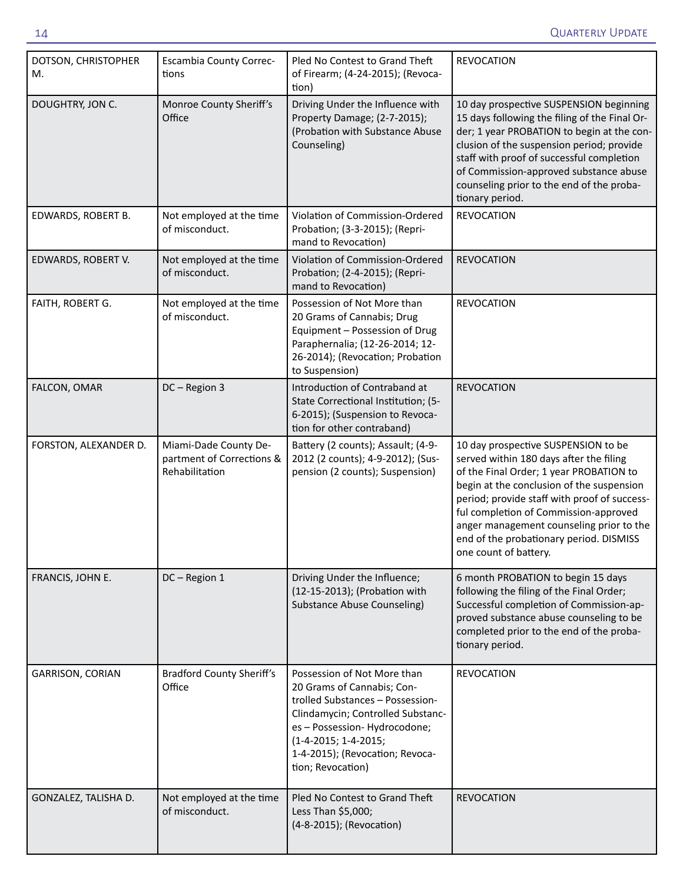| DOTSON, CHRISTOPHER<br>M. | <b>Escambia County Correc-</b><br>tions                              | Pled No Contest to Grand Theft<br>of Firearm; (4-24-2015); (Revoca-<br>tion)                                                                                                                                                                        | <b>REVOCATION</b>                                                                                                                                                                                                                                                                                                                                                               |
|---------------------------|----------------------------------------------------------------------|-----------------------------------------------------------------------------------------------------------------------------------------------------------------------------------------------------------------------------------------------------|---------------------------------------------------------------------------------------------------------------------------------------------------------------------------------------------------------------------------------------------------------------------------------------------------------------------------------------------------------------------------------|
| DOUGHTRY, JON C.          | Monroe County Sheriff's<br>Office                                    | Driving Under the Influence with<br>Property Damage; (2-7-2015);<br>(Probation with Substance Abuse<br>Counseling)                                                                                                                                  | 10 day prospective SUSPENSION beginning<br>15 days following the filing of the Final Or-<br>der; 1 year PROBATION to begin at the con-<br>clusion of the suspension period; provide<br>staff with proof of successful completion<br>of Commission-approved substance abuse<br>counseling prior to the end of the proba-<br>tionary period.                                      |
| EDWARDS, ROBERT B.        | Not employed at the time<br>of misconduct.                           | Violation of Commission-Ordered<br>Probation; (3-3-2015); (Repri-<br>mand to Revocation)                                                                                                                                                            | <b>REVOCATION</b>                                                                                                                                                                                                                                                                                                                                                               |
| EDWARDS, ROBERT V.        | Not employed at the time<br>of misconduct.                           | Violation of Commission-Ordered<br>Probation; (2-4-2015); (Repri-<br>mand to Revocation)                                                                                                                                                            | <b>REVOCATION</b>                                                                                                                                                                                                                                                                                                                                                               |
| FAITH, ROBERT G.          | Not employed at the time<br>of misconduct.                           | Possession of Not More than<br>20 Grams of Cannabis; Drug<br>Equipment - Possession of Drug<br>Paraphernalia; (12-26-2014; 12-<br>26-2014); (Revocation; Probation<br>to Suspension)                                                                | <b>REVOCATION</b>                                                                                                                                                                                                                                                                                                                                                               |
| FALCON, OMAR              | DC-Region 3                                                          | Introduction of Contraband at<br>State Correctional Institution; (5-<br>6-2015); (Suspension to Revoca-<br>tion for other contraband)                                                                                                               | <b>REVOCATION</b>                                                                                                                                                                                                                                                                                                                                                               |
| FORSTON, ALEXANDER D.     | Miami-Dade County De-<br>partment of Corrections &<br>Rehabilitation | Battery (2 counts); Assault; (4-9-<br>2012 (2 counts); 4-9-2012); (Sus-<br>pension (2 counts); Suspension)                                                                                                                                          | 10 day prospective SUSPENSION to be<br>served within 180 days after the filing<br>of the Final Order; 1 year PROBATION to<br>begin at the conclusion of the suspension<br>period; provide staff with proof of success-<br>ful completion of Commission-approved<br>anger management counseling prior to the<br>end of the probationary period. DISMISS<br>one count of battery. |
| FRANCIS, JOHN E.          | DC-Region 1                                                          | Driving Under the Influence;<br>(12-15-2013); (Probation with<br><b>Substance Abuse Counseling)</b>                                                                                                                                                 | 6 month PROBATION to begin 15 days<br>following the filing of the Final Order;<br>Successful completion of Commission-ap-<br>proved substance abuse counseling to be<br>completed prior to the end of the proba-<br>tionary period.                                                                                                                                             |
| GARRISON, CORIAN          | <b>Bradford County Sheriff's</b><br>Office                           | Possession of Not More than<br>20 Grams of Cannabis; Con-<br>trolled Substances - Possession-<br>Clindamycin; Controlled Substanc-<br>es - Possession- Hydrocodone;<br>(1-4-2015; 1-4-2015;<br>1-4-2015); (Revocation; Revoca-<br>tion; Revocation) | <b>REVOCATION</b>                                                                                                                                                                                                                                                                                                                                                               |
| GONZALEZ, TALISHA D.      | Not employed at the time<br>of misconduct.                           | Pled No Contest to Grand Theft<br>Less Than \$5,000;<br>(4-8-2015); (Revocation)                                                                                                                                                                    | <b>REVOCATION</b>                                                                                                                                                                                                                                                                                                                                                               |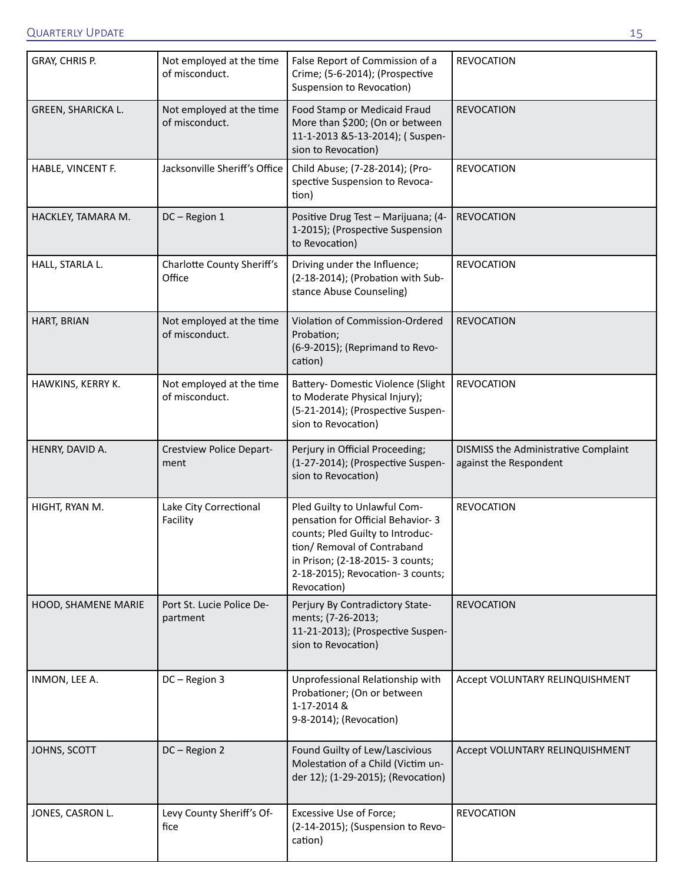| GRAY, CHRIS P.      | Not employed at the time<br>of misconduct. | False Report of Commission of a<br>Crime; (5-6-2014); (Prospective<br>Suspension to Revocation)                                                                                                                              | <b>REVOCATION</b>                                              |
|---------------------|--------------------------------------------|------------------------------------------------------------------------------------------------------------------------------------------------------------------------------------------------------------------------------|----------------------------------------------------------------|
| GREEN, SHARICKA L.  | Not employed at the time<br>of misconduct. | Food Stamp or Medicaid Fraud<br>More than \$200; (On or between<br>11-1-2013 &5-13-2014); (Suspen-<br>sion to Revocation)                                                                                                    | <b>REVOCATION</b>                                              |
| HABLE, VINCENT F.   | Jacksonville Sheriff's Office              | Child Abuse; (7-28-2014); (Pro-<br>spective Suspension to Revoca-<br>tion)                                                                                                                                                   | <b>REVOCATION</b>                                              |
| HACKLEY, TAMARA M.  | DC-Region 1                                | Positive Drug Test - Marijuana; (4-<br>1-2015); (Prospective Suspension<br>to Revocation)                                                                                                                                    | <b>REVOCATION</b>                                              |
| HALL, STARLA L.     | Charlotte County Sheriff's<br>Office       | Driving under the Influence;<br>(2-18-2014); (Probation with Sub-<br>stance Abuse Counseling)                                                                                                                                | <b>REVOCATION</b>                                              |
| HART, BRIAN         | Not employed at the time<br>of misconduct. | Violation of Commission-Ordered<br>Probation;<br>(6-9-2015); (Reprimand to Revo-<br>cation)                                                                                                                                  | <b>REVOCATION</b>                                              |
| HAWKINS, KERRY K.   | Not employed at the time<br>of misconduct. | Battery- Domestic Violence (Slight<br>to Moderate Physical Injury);<br>(5-21-2014); (Prospective Suspen-<br>sion to Revocation)                                                                                              | <b>REVOCATION</b>                                              |
| HENRY, DAVID A.     | <b>Crestview Police Depart-</b><br>ment    | Perjury in Official Proceeding;<br>(1-27-2014); (Prospective Suspen-<br>sion to Revocation)                                                                                                                                  | DISMISS the Administrative Complaint<br>against the Respondent |
| HIGHT, RYAN M.      | Lake City Correctional<br>Facility         | Pled Guilty to Unlawful Com-<br>pensation for Official Behavior-3<br>counts; Pled Guilty to Introduc-<br>tion/ Removal of Contraband<br>in Prison; (2-18-2015- 3 counts;<br>2-18-2015); Revocation- 3 counts;<br>Revocation) | <b>REVOCATION</b>                                              |
| HOOD, SHAMENE MARIE | Port St. Lucie Police De-<br>partment      | Perjury By Contradictory State-<br>ments; (7-26-2013;<br>11-21-2013); (Prospective Suspen-<br>sion to Revocation)                                                                                                            | <b>REVOCATION</b>                                              |
| INMON, LEE A.       | DC-Region 3                                | Unprofessional Relationship with<br>Probationer; (On or between<br>1-17-2014 &<br>9-8-2014); (Revocation)                                                                                                                    | Accept VOLUNTARY RELINQUISHMENT                                |
| JOHNS, SCOTT        | DC-Region 2                                | Found Guilty of Lew/Lascivious<br>Molestation of a Child (Victim un-<br>der 12); (1-29-2015); (Revocation)                                                                                                                   | Accept VOLUNTARY RELINQUISHMENT                                |
| JONES, CASRON L.    | Levy County Sheriff's Of-<br>fice          | Excessive Use of Force;<br>(2-14-2015); (Suspension to Revo-<br>cation)                                                                                                                                                      | <b>REVOCATION</b>                                              |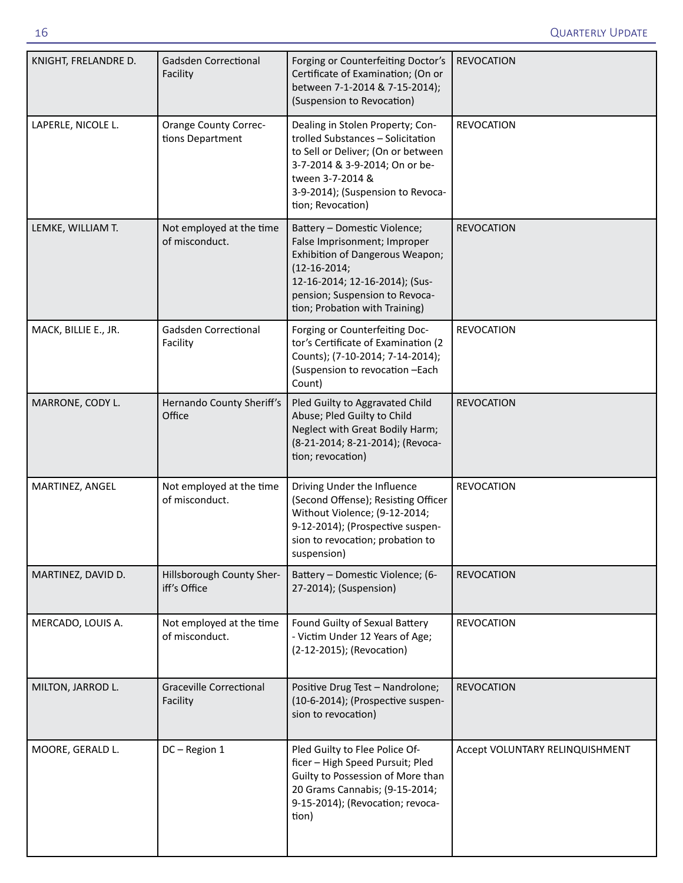| KNIGHT, FRELANDRE D. | <b>Gadsden Correctional</b><br>Facility          | Forging or Counterfeiting Doctor's<br>Certificate of Examination; (On or<br>between 7-1-2014 & 7-15-2014);<br>(Suspension to Revocation)                                                                                    | <b>REVOCATION</b>               |
|----------------------|--------------------------------------------------|-----------------------------------------------------------------------------------------------------------------------------------------------------------------------------------------------------------------------------|---------------------------------|
| LAPERLE, NICOLE L.   | <b>Orange County Correc-</b><br>tions Department | Dealing in Stolen Property; Con-<br>trolled Substances - Solicitation<br>to Sell or Deliver; (On or between<br>3-7-2014 & 3-9-2014; On or be-<br>tween 3-7-2014 &<br>3-9-2014); (Suspension to Revoca-<br>tion; Revocation) | <b>REVOCATION</b>               |
| LEMKE, WILLIAM T.    | Not employed at the time<br>of misconduct.       | Battery - Domestic Violence;<br>False Imprisonment; Improper<br>Exhibition of Dangerous Weapon;<br>$(12 - 16 - 2014)$<br>12-16-2014; 12-16-2014); (Sus-<br>pension; Suspension to Revoca-<br>tion; Probation with Training) | <b>REVOCATION</b>               |
| MACK, BILLIE E., JR. | Gadsden Correctional<br>Facility                 | Forging or Counterfeiting Doc-<br>tor's Certificate of Examination (2<br>Counts); (7-10-2014; 7-14-2014);<br>(Suspension to revocation -Each<br>Count)                                                                      | <b>REVOCATION</b>               |
| MARRONE, CODY L.     | Hernando County Sheriff's<br>Office              | Pled Guilty to Aggravated Child<br>Abuse; Pled Guilty to Child<br>Neglect with Great Bodily Harm;<br>(8-21-2014; 8-21-2014); (Revoca-<br>tion; revocation)                                                                  | <b>REVOCATION</b>               |
| MARTINEZ, ANGEL      | Not employed at the time<br>of misconduct.       | Driving Under the Influence<br>(Second Offense); Resisting Officer<br>Without Violence; (9-12-2014;<br>9-12-2014); (Prospective suspen-<br>sion to revocation; probation to<br>suspension)                                  | <b>REVOCATION</b>               |
| MARTINEZ, DAVID D.   | Hillsborough County Sher-<br>iff's Office        | Battery - Domestic Violence; (6-<br>27-2014); (Suspension)                                                                                                                                                                  | <b>REVOCATION</b>               |
| MERCADO, LOUIS A.    | Not employed at the time<br>of misconduct.       | Found Guilty of Sexual Battery<br>- Victim Under 12 Years of Age;<br>(2-12-2015); (Revocation)                                                                                                                              | <b>REVOCATION</b>               |
| MILTON, JARROD L.    | <b>Graceville Correctional</b><br>Facility       | Positive Drug Test - Nandrolone;<br>(10-6-2014); (Prospective suspen-<br>sion to revocation)                                                                                                                                | <b>REVOCATION</b>               |
| MOORE, GERALD L.     | DC-Region 1                                      | Pled Guilty to Flee Police Of-<br>ficer - High Speed Pursuit; Pled<br>Guilty to Possession of More than<br>20 Grams Cannabis; (9-15-2014;<br>9-15-2014); (Revocation; revoca-<br>tion)                                      | Accept VOLUNTARY RELINQUISHMENT |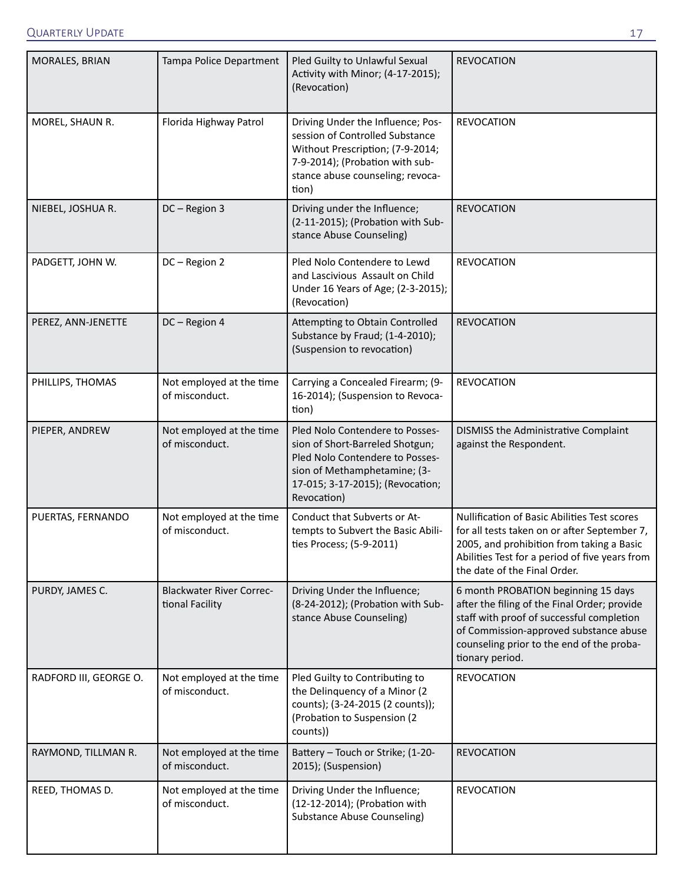| MORALES, BRIAN         | Tampa Police Department                            | Pled Guilty to Unlawful Sexual<br>Activity with Minor; (4-17-2015);<br>(Revocation)                                                                                                      | <b>REVOCATION</b>                                                                                                                                                                                                                          |
|------------------------|----------------------------------------------------|------------------------------------------------------------------------------------------------------------------------------------------------------------------------------------------|--------------------------------------------------------------------------------------------------------------------------------------------------------------------------------------------------------------------------------------------|
| MOREL, SHAUN R.        | Florida Highway Patrol                             | Driving Under the Influence; Pos-<br>session of Controlled Substance<br>Without Prescription; (7-9-2014;<br>7-9-2014); (Probation with sub-<br>stance abuse counseling; revoca-<br>tion) | <b>REVOCATION</b>                                                                                                                                                                                                                          |
| NIEBEL, JOSHUA R.      | DC-Region 3                                        | Driving under the Influence;<br>(2-11-2015); (Probation with Sub-<br>stance Abuse Counseling)                                                                                            | <b>REVOCATION</b>                                                                                                                                                                                                                          |
| PADGETT, JOHN W.       | DC-Region 2                                        | Pled Nolo Contendere to Lewd<br>and Lascivious Assault on Child<br>Under 16 Years of Age; (2-3-2015);<br>(Revocation)                                                                    | <b>REVOCATION</b>                                                                                                                                                                                                                          |
| PEREZ, ANN-JENETTE     | DC-Region 4                                        | Attempting to Obtain Controlled<br>Substance by Fraud; (1-4-2010);<br>(Suspension to revocation)                                                                                         | <b>REVOCATION</b>                                                                                                                                                                                                                          |
| PHILLIPS, THOMAS       | Not employed at the time<br>of misconduct.         | Carrying a Concealed Firearm; (9-<br>16-2014); (Suspension to Revoca-<br>tion)                                                                                                           | <b>REVOCATION</b>                                                                                                                                                                                                                          |
| PIEPER, ANDREW         | Not employed at the time<br>of misconduct.         | Pled Nolo Contendere to Posses-<br>sion of Short-Barreled Shotgun;<br>Pled Nolo Contendere to Posses-<br>sion of Methamphetamine; (3-<br>17-015; 3-17-2015); (Revocation;<br>Revocation) | DISMISS the Administrative Complaint<br>against the Respondent.                                                                                                                                                                            |
| PUERTAS, FERNANDO      | Not employed at the time<br>of misconduct.         | Conduct that Subverts or At-<br>tempts to Subvert the Basic Abili-<br>ties Process; (5-9-2011)                                                                                           | Nullification of Basic Abilities Test scores<br>for all tests taken on or after September 7,<br>2005, and prohibition from taking a Basic<br>Abilities Test for a period of five years from<br>the date of the Final Order.                |
| PURDY, JAMES C.        | <b>Blackwater River Correc-</b><br>tional Facility | Driving Under the Influence;<br>(8-24-2012); (Probation with Sub-<br>stance Abuse Counseling)                                                                                            | 6 month PROBATION beginning 15 days<br>after the filing of the Final Order; provide<br>staff with proof of successful completion<br>of Commission-approved substance abuse<br>counseling prior to the end of the proba-<br>tionary period. |
| RADFORD III, GEORGE O. | Not employed at the time<br>of misconduct.         | Pled Guilty to Contributing to<br>the Delinquency of a Minor (2<br>counts); (3-24-2015 (2 counts));<br>(Probation to Suspension (2<br>counts))                                           | <b>REVOCATION</b>                                                                                                                                                                                                                          |
| RAYMOND, TILLMAN R.    | Not employed at the time<br>of misconduct.         | Battery - Touch or Strike; (1-20-<br>2015); (Suspension)                                                                                                                                 | <b>REVOCATION</b>                                                                                                                                                                                                                          |
| REED, THOMAS D.        | Not employed at the time<br>of misconduct.         | Driving Under the Influence;<br>(12-12-2014); (Probation with<br><b>Substance Abuse Counseling)</b>                                                                                      | <b>REVOCATION</b>                                                                                                                                                                                                                          |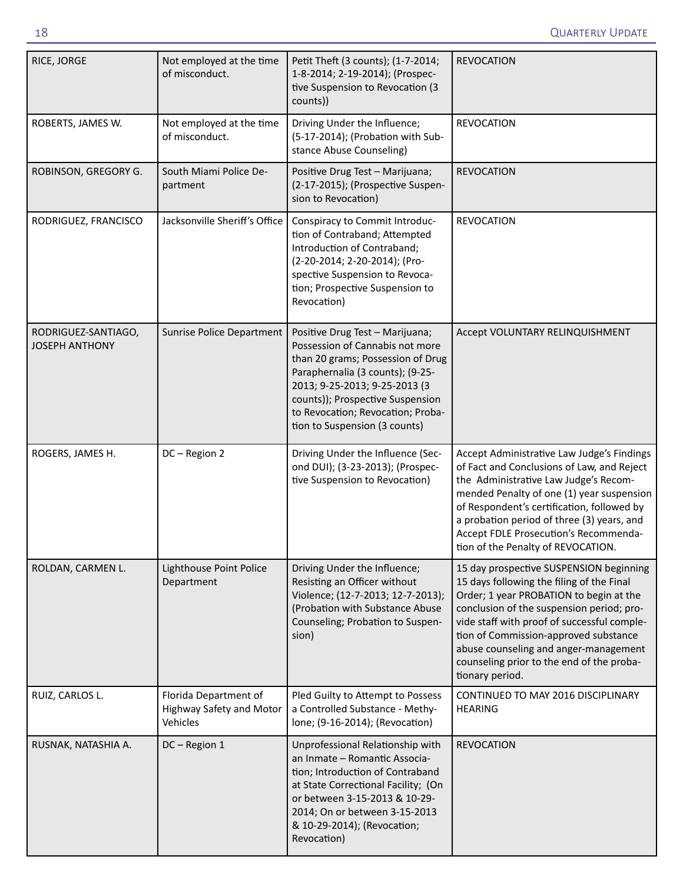| RICE, JORGE                                  | Not employed at the time<br>of misconduct.                    | Petit Theft (3 counts); (1-7-2014;<br>1-8-2014; 2-19-2014); (Prospec-<br>tive Suspension to Revocation (3<br>counts))                                                                                                                                                                  | <b>REVOCATION</b>                                                                                                                                                                                                                                                                                                                                                             |
|----------------------------------------------|---------------------------------------------------------------|----------------------------------------------------------------------------------------------------------------------------------------------------------------------------------------------------------------------------------------------------------------------------------------|-------------------------------------------------------------------------------------------------------------------------------------------------------------------------------------------------------------------------------------------------------------------------------------------------------------------------------------------------------------------------------|
| ROBERTS, JAMES W.                            | Not employed at the time<br>of misconduct.                    | Driving Under the Influence;<br>(5-17-2014); (Probation with Sub-<br>stance Abuse Counseling)                                                                                                                                                                                          | <b>REVOCATION</b>                                                                                                                                                                                                                                                                                                                                                             |
| ROBINSON, GREGORY G.                         | South Miami Police De-<br>partment                            | Positive Drug Test - Marijuana;<br>(2-17-2015); (Prospective Suspen-<br>sion to Revocation)                                                                                                                                                                                            | <b>REVOCATION</b>                                                                                                                                                                                                                                                                                                                                                             |
| RODRIGUEZ, FRANCISCO                         | Jacksonville Sheriff's Office                                 | Conspiracy to Commit Introduc-<br>tion of Contraband; Attempted<br>Introduction of Contraband;<br>(2-20-2014; 2-20-2014); (Pro-<br>spective Suspension to Revoca-<br>tion; Prospective Suspension to<br>Revocation)                                                                    | <b>REVOCATION</b>                                                                                                                                                                                                                                                                                                                                                             |
| RODRIGUEZ-SANTIAGO,<br><b>JOSEPH ANTHONY</b> | Sunrise Police Department                                     | Positive Drug Test - Marijuana;<br>Possession of Cannabis not more<br>than 20 grams; Possession of Drug<br>Paraphernalia (3 counts); (9-25-<br>2013; 9-25-2013; 9-25-2013 (3<br>counts)); Prospective Suspension<br>to Revocation; Revocation; Proba-<br>tion to Suspension (3 counts) | Accept VOLUNTARY RELINQUISHMENT                                                                                                                                                                                                                                                                                                                                               |
| ROGERS, JAMES H.                             | DC-Region 2                                                   | Driving Under the Influence (Sec-<br>ond DUI); (3-23-2013); (Prospec-<br>tive Suspension to Revocation)                                                                                                                                                                                | Accept Administrative Law Judge's Findings<br>of Fact and Conclusions of Law, and Reject<br>the Administrative Law Judge's Recom-<br>mended Penalty of one (1) year suspension<br>of Respondent's certification, followed by<br>a probation period of three (3) years, and<br>Accept FDLE Prosecution's Recommenda-<br>tion of the Penalty of REVOCATION.                     |
| ROLDAN, CARMEN L.                            | Lighthouse Point Police<br>Department                         | Driving Under the Influence;<br>Resisting an Officer without<br>Violence; (12-7-2013; 12-7-2013);<br>(Probation with Substance Abuse<br>Counseling; Probation to Suspen-<br>sion)                                                                                                      | 15 day prospective SUSPENSION beginning<br>15 days following the filing of the Final<br>Order; 1 year PROBATION to begin at the<br>conclusion of the suspension period; pro-<br>vide staff with proof of successful comple-<br>tion of Commission-approved substance<br>abuse counseling and anger-management<br>counseling prior to the end of the proba-<br>tionary period. |
| RUIZ, CARLOS L.                              | Florida Department of<br>Highway Safety and Motor<br>Vehicles | Pled Guilty to Attempt to Possess<br>a Controlled Substance - Methy-<br>lone; (9-16-2014); (Revocation)                                                                                                                                                                                | CONTINUED TO MAY 2016 DISCIPLINARY<br><b>HEARING</b>                                                                                                                                                                                                                                                                                                                          |
| RUSNAK, NATASHIA A.                          | DC-Region 1                                                   | Unprofessional Relationship with<br>an Inmate - Romantic Associa-<br>tion; Introduction of Contraband<br>at State Correctional Facility; (On<br>or between 3-15-2013 & 10-29-<br>2014; On or between 3-15-2013<br>& 10-29-2014); (Revocation;<br>Revocation)                           | <b>REVOCATION</b>                                                                                                                                                                                                                                                                                                                                                             |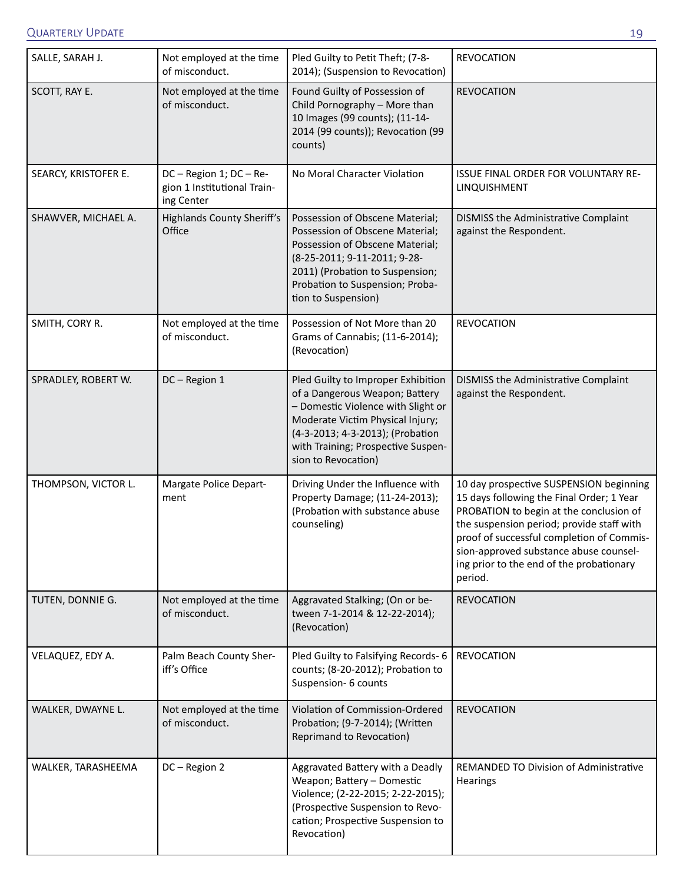| SALLE, SARAH J.      | Not employed at the time<br>of misconduct.                           | Pled Guilty to Petit Theft; (7-8-<br>2014); (Suspension to Revocation)                                                                                                                                                                          | <b>REVOCATION</b>                                                                                                                                                                                                                                                                                                          |
|----------------------|----------------------------------------------------------------------|-------------------------------------------------------------------------------------------------------------------------------------------------------------------------------------------------------------------------------------------------|----------------------------------------------------------------------------------------------------------------------------------------------------------------------------------------------------------------------------------------------------------------------------------------------------------------------------|
| SCOTT, RAY E.        | Not employed at the time<br>of misconduct.                           | Found Guilty of Possession of<br>Child Pornography - More than<br>10 Images (99 counts); (11-14-<br>2014 (99 counts)); Revocation (99<br>counts)                                                                                                | <b>REVOCATION</b>                                                                                                                                                                                                                                                                                                          |
| SEARCY, KRISTOFER E. | DC - Region 1; DC - Re-<br>gion 1 Institutional Train-<br>ing Center | No Moral Character Violation                                                                                                                                                                                                                    | <b>ISSUE FINAL ORDER FOR VOLUNTARY RE-</b><br>LINQUISHMENT                                                                                                                                                                                                                                                                 |
| SHAWVER, MICHAEL A.  | <b>Highlands County Sheriff's</b><br>Office                          | Possession of Obscene Material;<br>Possession of Obscene Material;<br>Possession of Obscene Material;<br>(8-25-2011; 9-11-2011; 9-28-<br>2011) (Probation to Suspension;<br>Probation to Suspension; Proba-<br>tion to Suspension)              | DISMISS the Administrative Complaint<br>against the Respondent.                                                                                                                                                                                                                                                            |
| SMITH, CORY R.       | Not employed at the time<br>of misconduct.                           | Possession of Not More than 20<br>Grams of Cannabis; (11-6-2014);<br>(Revocation)                                                                                                                                                               | <b>REVOCATION</b>                                                                                                                                                                                                                                                                                                          |
| SPRADLEY, ROBERT W.  | DC-Region 1                                                          | Pled Guilty to Improper Exhibition<br>of a Dangerous Weapon; Battery<br>- Domestic Violence with Slight or<br>Moderate Victim Physical Injury;<br>(4-3-2013; 4-3-2013); (Probation<br>with Training; Prospective Suspen-<br>sion to Revocation) | DISMISS the Administrative Complaint<br>against the Respondent.                                                                                                                                                                                                                                                            |
| THOMPSON, VICTOR L.  | Margate Police Depart-<br>ment                                       | Driving Under the Influence with<br>Property Damage; (11-24-2013);<br>(Probation with substance abuse<br>counseling)                                                                                                                            | 10 day prospective SUSPENSION beginning<br>15 days following the Final Order; 1 Year<br>PROBATION to begin at the conclusion of<br>the suspension period; provide staff with<br>proof of successful completion of Commis-<br>sion-approved substance abuse counsel-<br>ing prior to the end of the probationary<br>period. |
| TUTEN, DONNIE G.     | Not employed at the time<br>of misconduct.                           | Aggravated Stalking; (On or be-<br>tween 7-1-2014 & 12-22-2014);<br>(Revocation)                                                                                                                                                                | <b>REVOCATION</b>                                                                                                                                                                                                                                                                                                          |
| VELAQUEZ, EDY A.     | Palm Beach County Sher-<br>iff's Office                              | Pled Guilty to Falsifying Records- 6<br>counts; (8-20-2012); Probation to<br>Suspension- 6 counts                                                                                                                                               | <b>REVOCATION</b>                                                                                                                                                                                                                                                                                                          |
| WALKER, DWAYNE L.    | Not employed at the time<br>of misconduct.                           | Violation of Commission-Ordered<br>Probation; (9-7-2014); (Written<br>Reprimand to Revocation)                                                                                                                                                  | <b>REVOCATION</b>                                                                                                                                                                                                                                                                                                          |
| WALKER, TARASHEEMA   | DC-Region 2                                                          | Aggravated Battery with a Deadly<br>Weapon; Battery - Domestic<br>Violence; (2-22-2015; 2-22-2015);<br>(Prospective Suspension to Revo-<br>cation; Prospective Suspension to<br>Revocation)                                                     | REMANDED TO Division of Administrative<br><b>Hearings</b>                                                                                                                                                                                                                                                                  |